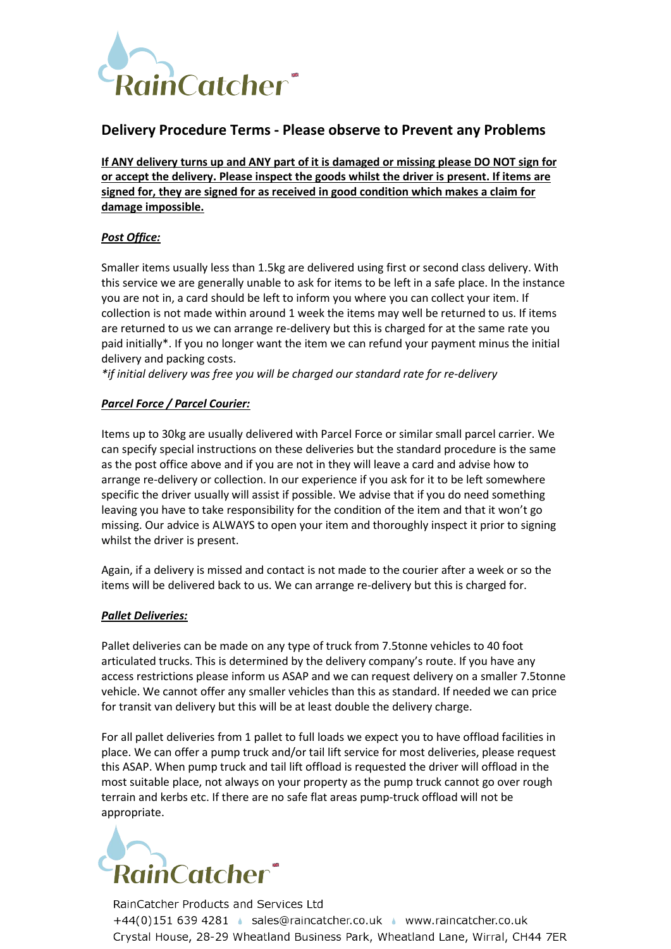

## **Delivery Procedure Terms - Please observe to Prevent any Problems**

**If ANY delivery turns up and ANY part of it is damaged or missing please DO NOT sign for or accept the delivery. Please inspect the goods whilst the driver is present. If items are signed for, they are signed for as received in good condition which makes a claim for damage impossible.** 

## *Post Office:*

Smaller items usually less than 1.5kg are delivered using first or second class delivery. With this service we are generally unable to ask for items to be left in a safe place. In the instance you are not in, a card should be left to inform you where you can collect your item. If collection is not made within around 1 week the items may well be returned to us. If items are returned to us we can arrange re-delivery but this is charged for at the same rate you paid initially\*. If you no longer want the item we can refund your payment minus the initial delivery and packing costs.

*\*if initial delivery was free you will be charged our standard rate for re-delivery*

## *Parcel Force / Parcel Courier:*

Items up to 30kg are usually delivered with Parcel Force or similar small parcel carrier. We can specify special instructions on these deliveries but the standard procedure is the same as the post office above and if you are not in they will leave a card and advise how to arrange re-delivery or collection. In our experience if you ask for it to be left somewhere specific the driver usually will assist if possible. We advise that if you do need something leaving you have to take responsibility for the condition of the item and that it won't go missing. Our advice is ALWAYS to open your item and thoroughly inspect it prior to signing whilst the driver is present.

Again, if a delivery is missed and contact is not made to the courier after a week or so the items will be delivered back to us. We can arrange re-delivery but this is charged for.

## *Pallet Deliveries:*

Pallet deliveries can be made on any type of truck from 7.5tonne vehicles to 40 foot articulated trucks. This is determined by the delivery company's route. If you have any access restrictions please inform us ASAP and we can request delivery on a smaller 7.5tonne vehicle. We cannot offer any smaller vehicles than this as standard. If needed we can price for transit van delivery but this will be at least double the delivery charge.

For all pallet deliveries from 1 pallet to full loads we expect you to have offload facilities in place. We can offer a pump truck and/or tail lift service for most deliveries, please request this ASAP. When pump truck and tail lift offload is requested the driver will offload in the most suitable place, not always on your property as the pump truck cannot go over rough terrain and kerbs etc. If there are no safe flat areas pump-truck offload will not be appropriate.



RainCatcher Products and Services Ltd +44(0)151 639 4281 · sales@raincatcher.co.uk · www.raincatcher.co.uk Crystal House, 28-29 Wheatland Business Park, Wheatland Lane, Wirral, CH44 7ER